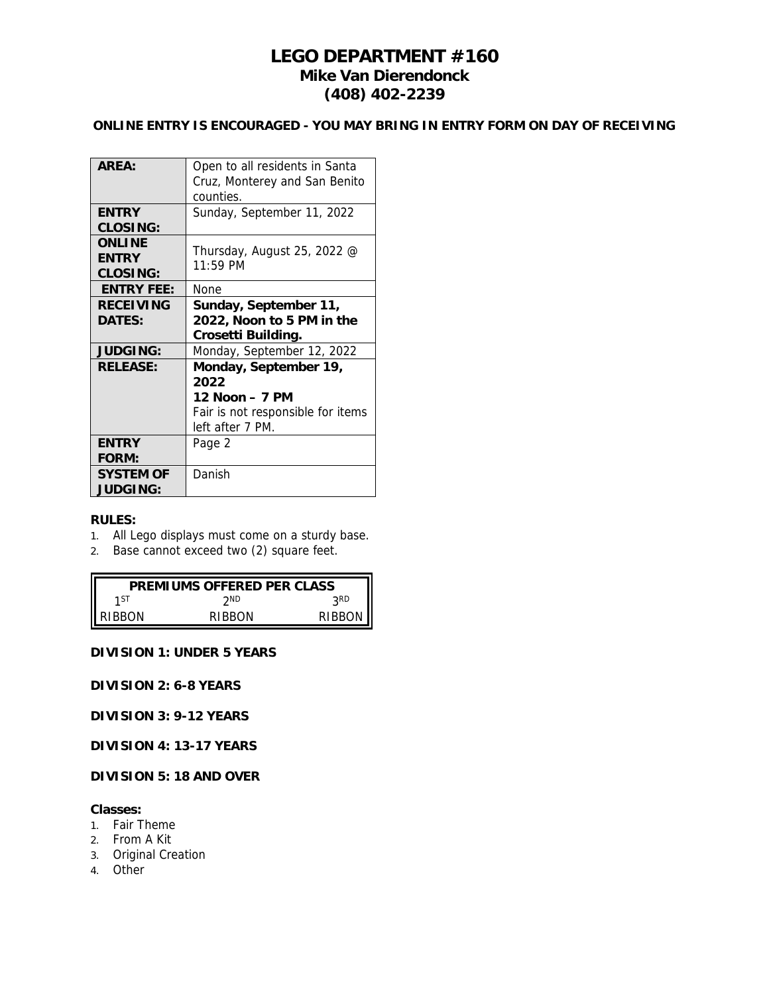# **LEGO DEPARTMENT #160 Mike Van Dierendonck (408) 402-2239**

# **ONLINE ENTRY IS ENCOURAGED - YOU MAY BRING IN ENTRY FORM ON DAY OF RECEIVING**

| ARFA.                                     | Open to all residents in Santa<br>Cruz, Monterey and San Benito<br>counties.                             |
|-------------------------------------------|----------------------------------------------------------------------------------------------------------|
| <b>ENTRY</b><br>CLOSING:                  | Sunday, September 11, 2022                                                                               |
| <b>ONLINE</b><br><b>FNTRY</b><br>CLOSING: | Thursday, August 25, 2022 @<br>$11:59$ PM                                                                |
| <b>ENTRY FEE:</b>                         | None                                                                                                     |
| <b>RECEIVING</b><br>DATES:                | Sunday, September 11,<br>2022, Noon to 5 PM in the<br>Crosetti Building.                                 |
| <b>JUDGING:</b>                           | Monday, September 12, 2022                                                                               |
| <b>RELEASE:</b>                           | Monday, September 19,<br>2022<br>12 Noon – 7 PM<br>Fair is not responsible for items<br>left after 7 PM. |
| <b>ENTRY</b><br>FORM:                     | Page 2                                                                                                   |
| <b>SYSTEM OF</b><br><b>JUDGING:</b>       | Danish                                                                                                   |

#### **RULES:**

- 1. All Lego displays must come on a sturdy base.
- 2. Base cannot exceed two (2) square feet.

| PREMIUMS OFFERED PER CLASS |        |        |  |  |
|----------------------------|--------|--------|--|--|
| 1 ST                       | ንND    | 2RD    |  |  |
| RIBBON                     | RIBBON | RIBBON |  |  |

# **DIVISION 1: UNDER 5 YEARS**

**DIVISION 2: 6-8 YEARS**

**DIVISION 3: 9-12 YEARS**

**DIVISION 4: 13-17 YEARS**

**DIVISION 5: 18 AND OVER**

### **Classes:**

- 1. Fair Theme
- 2. From A Kit
- 3. Original Creation
- 4. Other